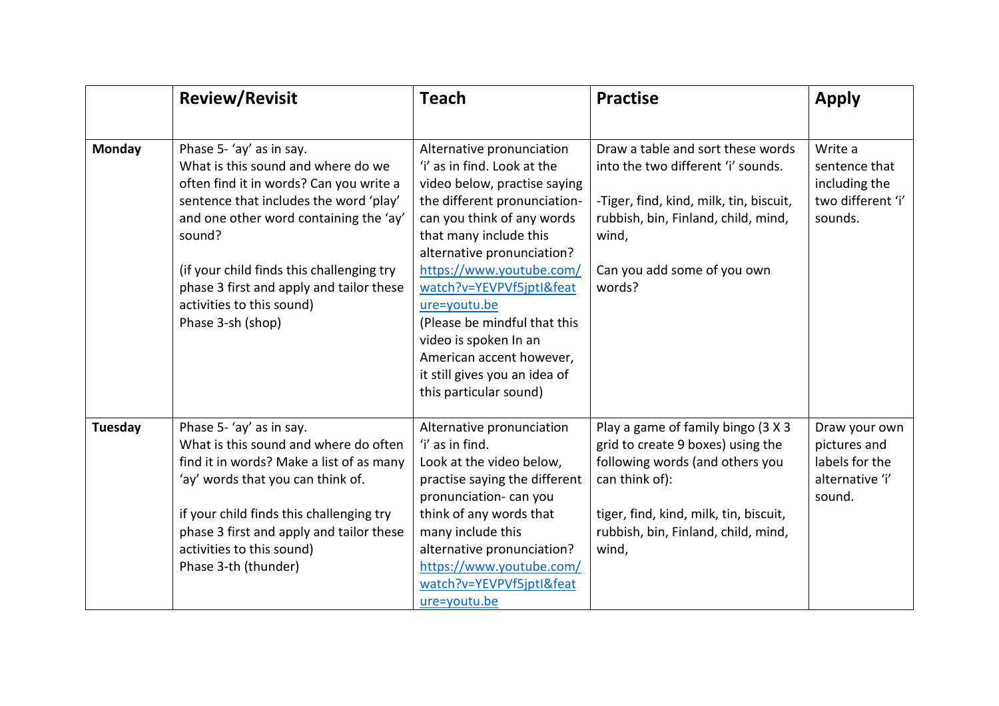|               | <b>Review/Revisit</b>                                                                                                                                                                                                                                                                                                                             | <b>Teach</b>                                                                                                                                                                                                                                                                                                                                                                                                                           | <b>Practise</b>                                                                                                                                                                                                        | <b>Apply</b>                                                                 |
|---------------|---------------------------------------------------------------------------------------------------------------------------------------------------------------------------------------------------------------------------------------------------------------------------------------------------------------------------------------------------|----------------------------------------------------------------------------------------------------------------------------------------------------------------------------------------------------------------------------------------------------------------------------------------------------------------------------------------------------------------------------------------------------------------------------------------|------------------------------------------------------------------------------------------------------------------------------------------------------------------------------------------------------------------------|------------------------------------------------------------------------------|
| <b>Monday</b> | Phase 5-'ay' as in say.<br>What is this sound and where do we<br>often find it in words? Can you write a<br>sentence that includes the word 'play'<br>and one other word containing the 'ay'<br>sound?<br>(if your child finds this challenging try<br>phase 3 first and apply and tailor these<br>activities to this sound)<br>Phase 3-sh (shop) | Alternative pronunciation<br>'i' as in find. Look at the<br>video below, practise saying<br>the different pronunciation-<br>can you think of any words<br>that many include this<br>alternative pronunciation?<br>https://www.youtube.com/<br>watch?v=YEVPVf5jptI&feat<br>ure=youtu.be<br>(Please be mindful that this<br>video is spoken In an<br>American accent however,<br>it still gives you an idea of<br>this particular sound) | Draw a table and sort these words<br>into the two different 'i' sounds.<br>-Tiger, find, kind, milk, tin, biscuit,<br>rubbish, bin, Finland, child, mind,<br>wind,<br>Can you add some of you own<br>words?            | Write a<br>sentence that<br>including the<br>two different 'i'<br>sounds.    |
| Tuesday       | Phase 5-'ay' as in say.<br>What is this sound and where do often<br>find it in words? Make a list of as many<br>'ay' words that you can think of.<br>if your child finds this challenging try<br>phase 3 first and apply and tailor these<br>activities to this sound)<br>Phase 3-th (thunder)                                                    | Alternative pronunciation<br>'i' as in find.<br>Look at the video below,<br>practise saying the different<br>pronunciation- can you<br>think of any words that<br>many include this<br>alternative pronunciation?<br>https://www.youtube.com/<br>watch?v=YEVPVf5jptI&feat<br>ure=youtu.be                                                                                                                                              | Play a game of family bingo (3 X 3<br>grid to create 9 boxes) using the<br>following words (and others you<br>can think of):<br>tiger, find, kind, milk, tin, biscuit,<br>rubbish, bin, Finland, child, mind,<br>wind, | Draw your own<br>pictures and<br>labels for the<br>alternative 'i'<br>sound. |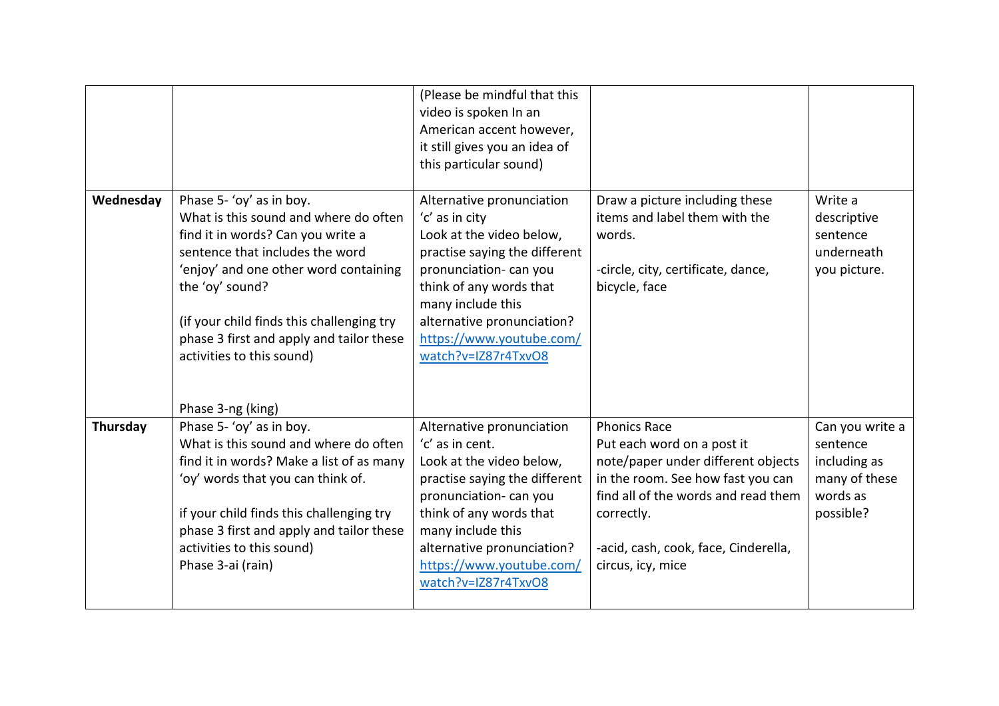|           |                                                                                                                                                                                                                                                                                                                                                  | (Please be mindful that this<br>video is spoken In an<br>American accent however,<br>it still gives you an idea of<br>this particular sound)                                                                                                                         |                                                                                                                                                                                                                                                |                                                                                       |
|-----------|--------------------------------------------------------------------------------------------------------------------------------------------------------------------------------------------------------------------------------------------------------------------------------------------------------------------------------------------------|----------------------------------------------------------------------------------------------------------------------------------------------------------------------------------------------------------------------------------------------------------------------|------------------------------------------------------------------------------------------------------------------------------------------------------------------------------------------------------------------------------------------------|---------------------------------------------------------------------------------------|
| Wednesday | Phase 5- 'oy' as in boy.<br>What is this sound and where do often<br>find it in words? Can you write a<br>sentence that includes the word<br>'enjoy' and one other word containing<br>the 'oy' sound?<br>(if your child finds this challenging try<br>phase 3 first and apply and tailor these<br>activities to this sound)<br>Phase 3-ng (king) | Alternative pronunciation<br>'c' as in city<br>Look at the video below,<br>practise saying the different<br>pronunciation- can you<br>think of any words that<br>many include this<br>alternative pronunciation?<br>https://www.youtube.com/<br>watch?v=IZ87r4TxvO8  | Draw a picture including these<br>items and label them with the<br>words.<br>-circle, city, certificate, dance,<br>bicycle, face                                                                                                               | Write a<br>descriptive<br>sentence<br>underneath<br>you picture.                      |
| Thursday  | Phase 5- 'oy' as in boy.<br>What is this sound and where do often<br>find it in words? Make a list of as many<br>'oy' words that you can think of.<br>if your child finds this challenging try<br>phase 3 first and apply and tailor these<br>activities to this sound)<br>Phase 3-ai (rain)                                                     | Alternative pronunciation<br>'c' as in cent.<br>Look at the video below,<br>practise saying the different<br>pronunciation- can you<br>think of any words that<br>many include this<br>alternative pronunciation?<br>https://www.youtube.com/<br>watch?v=IZ87r4TxvO8 | <b>Phonics Race</b><br>Put each word on a post it<br>note/paper under different objects<br>in the room. See how fast you can<br>find all of the words and read them<br>correctly.<br>-acid, cash, cook, face, Cinderella,<br>circus, icy, mice | Can you write a<br>sentence<br>including as<br>many of these<br>words as<br>possible? |